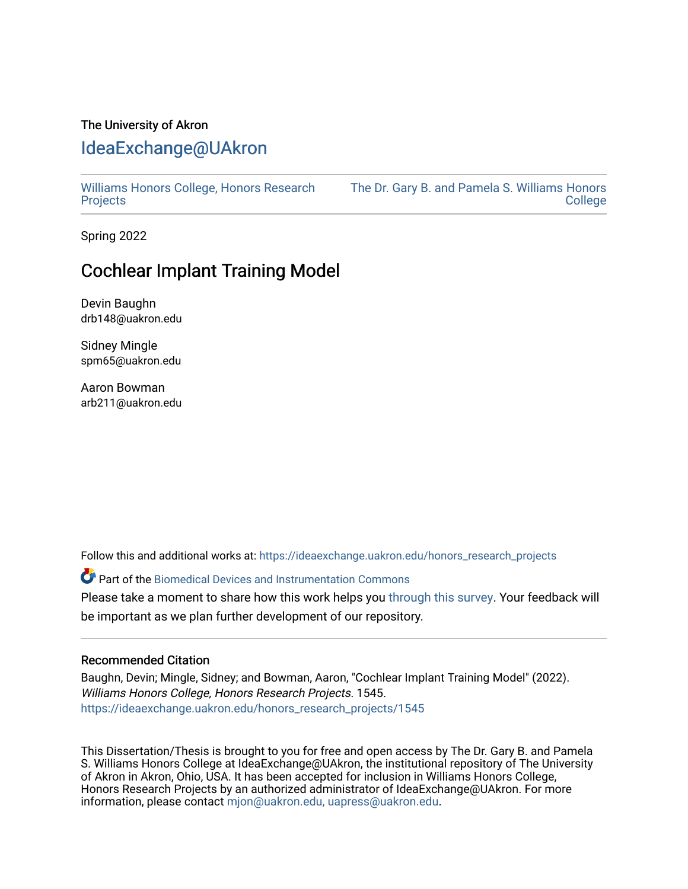### The University of Akron [IdeaExchange@UAkron](https://ideaexchange.uakron.edu/)

[Williams Honors College, Honors Research](https://ideaexchange.uakron.edu/honors_research_projects)  **[Projects](https://ideaexchange.uakron.edu/honors_research_projects)** 

[The Dr. Gary B. and Pamela S. Williams Honors](https://ideaexchange.uakron.edu/honorscollege_ideas)  **College** 

Spring 2022

# Cochlear Implant Training Model

Devin Baughn drb148@uakron.edu

Sidney Mingle spm65@uakron.edu

Aaron Bowman arb211@uakron.edu

Follow this and additional works at: [https://ideaexchange.uakron.edu/honors\\_research\\_projects](https://ideaexchange.uakron.edu/honors_research_projects?utm_source=ideaexchange.uakron.edu%2Fhonors_research_projects%2F1545&utm_medium=PDF&utm_campaign=PDFCoverPages) 

Part of the [Biomedical Devices and Instrumentation Commons](http://network.bepress.com/hgg/discipline/235?utm_source=ideaexchange.uakron.edu%2Fhonors_research_projects%2F1545&utm_medium=PDF&utm_campaign=PDFCoverPages) 

Please take a moment to share how this work helps you [through this survey](http://survey.az1.qualtrics.com/SE/?SID=SV_eEVH54oiCbOw05f&URL=https://ideaexchange.uakron.edu/honors_research_projects/1545). Your feedback will be important as we plan further development of our repository.

### Recommended Citation

Baughn, Devin; Mingle, Sidney; and Bowman, Aaron, "Cochlear Implant Training Model" (2022). Williams Honors College, Honors Research Projects. 1545. [https://ideaexchange.uakron.edu/honors\\_research\\_projects/1545](https://ideaexchange.uakron.edu/honors_research_projects/1545?utm_source=ideaexchange.uakron.edu%2Fhonors_research_projects%2F1545&utm_medium=PDF&utm_campaign=PDFCoverPages) 

This Dissertation/Thesis is brought to you for free and open access by The Dr. Gary B. and Pamela S. Williams Honors College at IdeaExchange@UAkron, the institutional repository of The University of Akron in Akron, Ohio, USA. It has been accepted for inclusion in Williams Honors College, Honors Research Projects by an authorized administrator of IdeaExchange@UAkron. For more information, please contact [mjon@uakron.edu, uapress@uakron.edu.](mailto:mjon@uakron.edu,%20uapress@uakron.edu)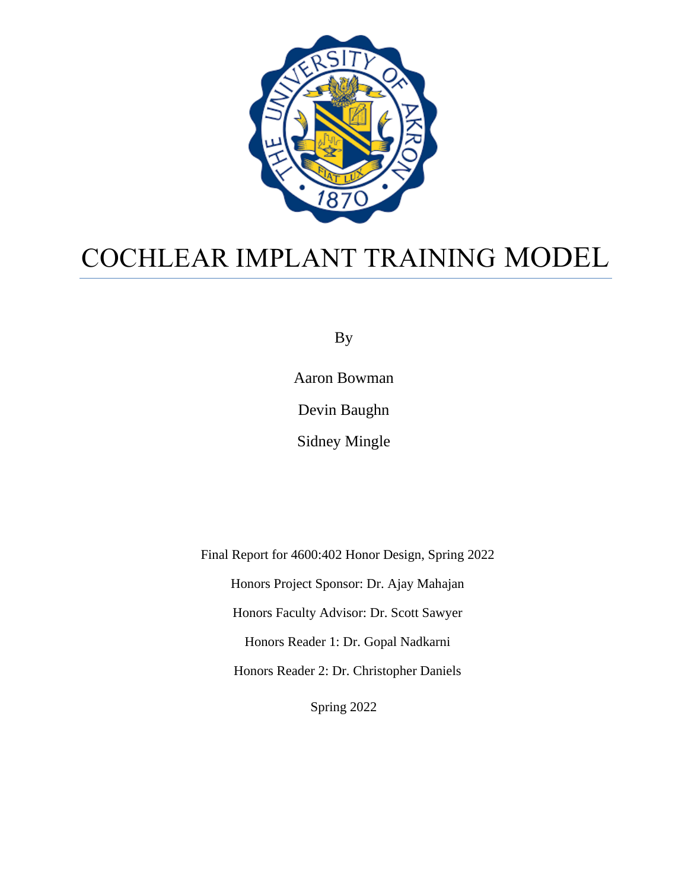

# COCHLEAR IMPLANT TRAINING MODEL

By

Aaron Bowman Devin Baughn Sidney Mingle

Final Report for 4600:402 Honor Design, Spring 2022 Honors Project Sponsor: Dr. Ajay Mahajan Honors Faculty Advisor: Dr. Scott Sawyer Honors Reader 1: Dr. Gopal Nadkarni Honors Reader 2: Dr. Christopher Daniels

Spring 2022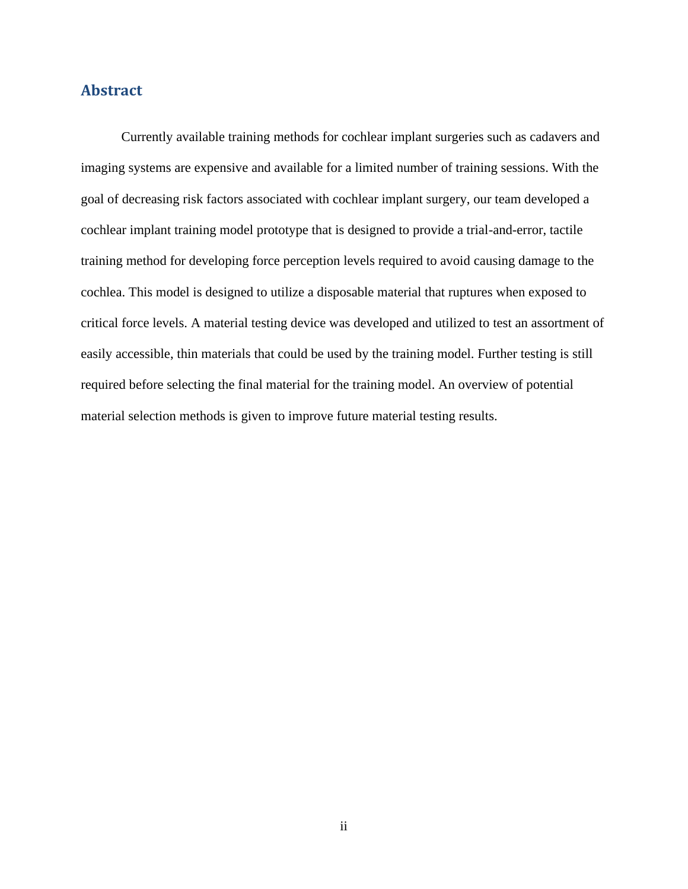### **Abstract**

Currently available training methods for cochlear implant surgeries such as cadavers and imaging systems are expensive and available for a limited number of training sessions. With the goal of decreasing risk factors associated with cochlear implant surgery, our team developed a cochlear implant training model prototype that is designed to provide a trial-and-error, tactile training method for developing force perception levels required to avoid causing damage to the cochlea. This model is designed to utilize a disposable material that ruptures when exposed to critical force levels. A material testing device was developed and utilized to test an assortment of easily accessible, thin materials that could be used by the training model. Further testing is still required before selecting the final material for the training model. An overview of potential material selection methods is given to improve future material testing results.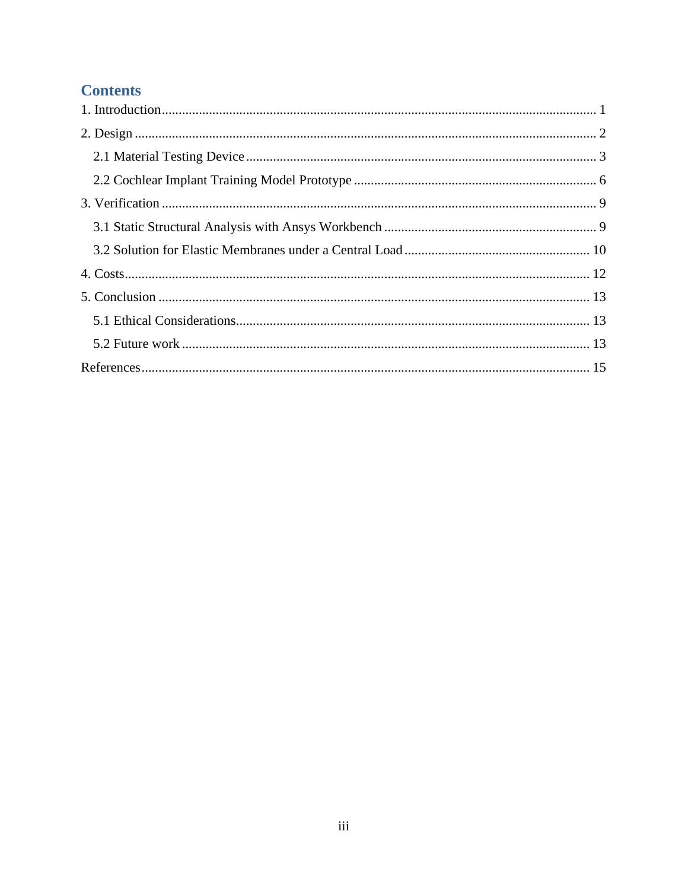## **Contents**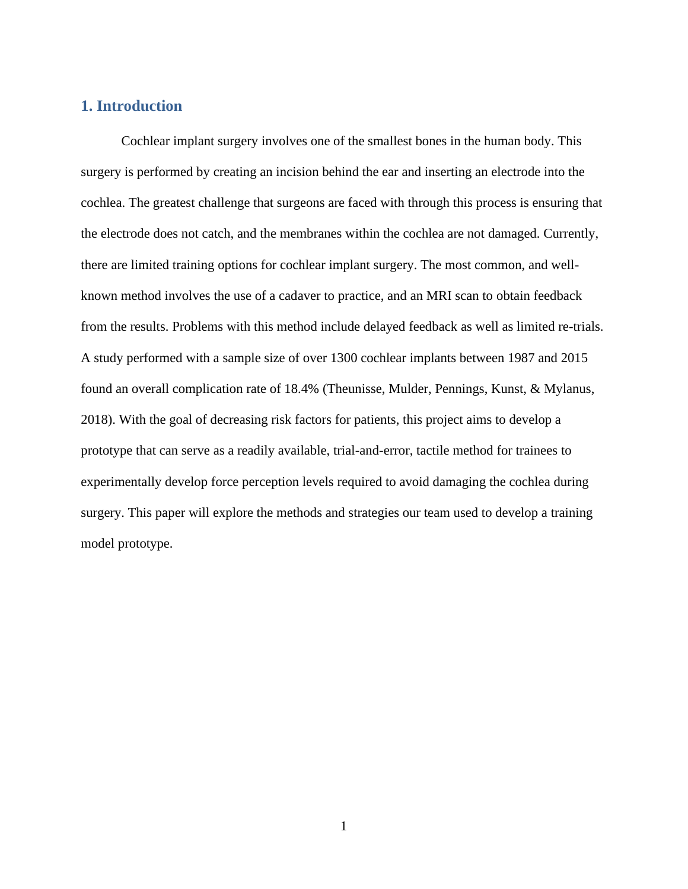### <span id="page-4-0"></span>**1. Introduction**

Cochlear implant surgery involves one of the smallest bones in the human body. This surgery is performed by creating an incision behind the ear and inserting an electrode into the cochlea. The greatest challenge that surgeons are faced with through this process is ensuring that the electrode does not catch, and the membranes within the cochlea are not damaged. Currently, there are limited training options for cochlear implant surgery. The most common, and wellknown method involves the use of a cadaver to practice, and an MRI scan to obtain feedback from the results. Problems with this method include delayed feedback as well as limited re-trials. A study performed with a sample size of over 1300 cochlear implants between 1987 and 2015 found an overall complication rate of 18.4% (Theunisse, Mulder, Pennings, Kunst, & Mylanus, 2018). With the goal of decreasing risk factors for patients, this project aims to develop a prototype that can serve as a readily available, trial-and-error, tactile method for trainees to experimentally develop force perception levels required to avoid damaging the cochlea during surgery. This paper will explore the methods and strategies our team used to develop a training model prototype.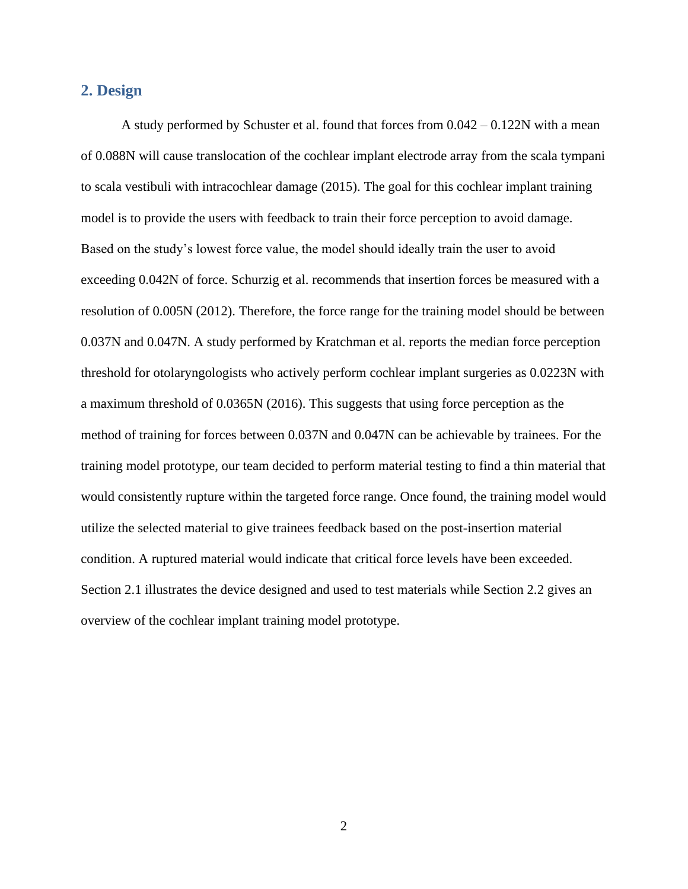### <span id="page-5-0"></span>**2. Design**

A study performed by Schuster et al. found that forces from 0.042 – 0.122N with a mean of 0.088N will cause translocation of the cochlear implant electrode array from the scala tympani to scala vestibuli with intracochlear damage (2015). The goal for this cochlear implant training model is to provide the users with feedback to train their force perception to avoid damage. Based on the study's lowest force value, the model should ideally train the user to avoid exceeding 0.042N of force. Schurzig et al. recommends that insertion forces be measured with a resolution of 0.005N (2012). Therefore, the force range for the training model should be between 0.037N and 0.047N. A study performed by Kratchman et al. reports the median force perception threshold for otolaryngologists who actively perform cochlear implant surgeries as 0.0223N with a maximum threshold of 0.0365N (2016). This suggests that using force perception as the method of training for forces between 0.037N and 0.047N can be achievable by trainees. For the training model prototype, our team decided to perform material testing to find a thin material that would consistently rupture within the targeted force range. Once found, the training model would utilize the selected material to give trainees feedback based on the post-insertion material condition. A ruptured material would indicate that critical force levels have been exceeded. Section 2.1 illustrates the device designed and used to test materials while Section 2.2 gives an overview of the cochlear implant training model prototype.

2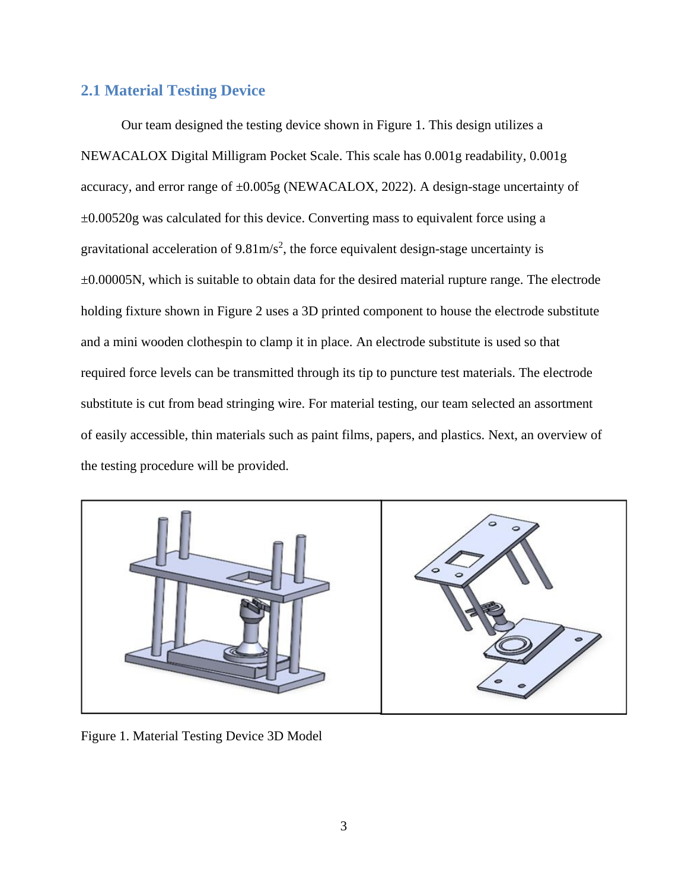### <span id="page-6-0"></span>**2.1 Material Testing Device**

Our team designed the testing device shown in Figure 1. This design utilizes a NEWACALOX Digital Milligram Pocket Scale. This scale has 0.001g readability, 0.001g accuracy, and error range of ±0.005g (NEWACALOX, 2022). A design-stage uncertainty of ±0.00520g was calculated for this device. Converting mass to equivalent force using a gravitational acceleration of  $9.81 \text{m/s}^2$ , the force equivalent design-stage uncertainty is ±0.00005N, which is suitable to obtain data for the desired material rupture range. The electrode holding fixture shown in Figure 2 uses a 3D printed component to house the electrode substitute and a mini wooden clothespin to clamp it in place. An electrode substitute is used so that required force levels can be transmitted through its tip to puncture test materials. The electrode substitute is cut from bead stringing wire. For material testing, our team selected an assortment of easily accessible, thin materials such as paint films, papers, and plastics. Next, an overview of the testing procedure will be provided.



Figure 1. Material Testing Device 3D Model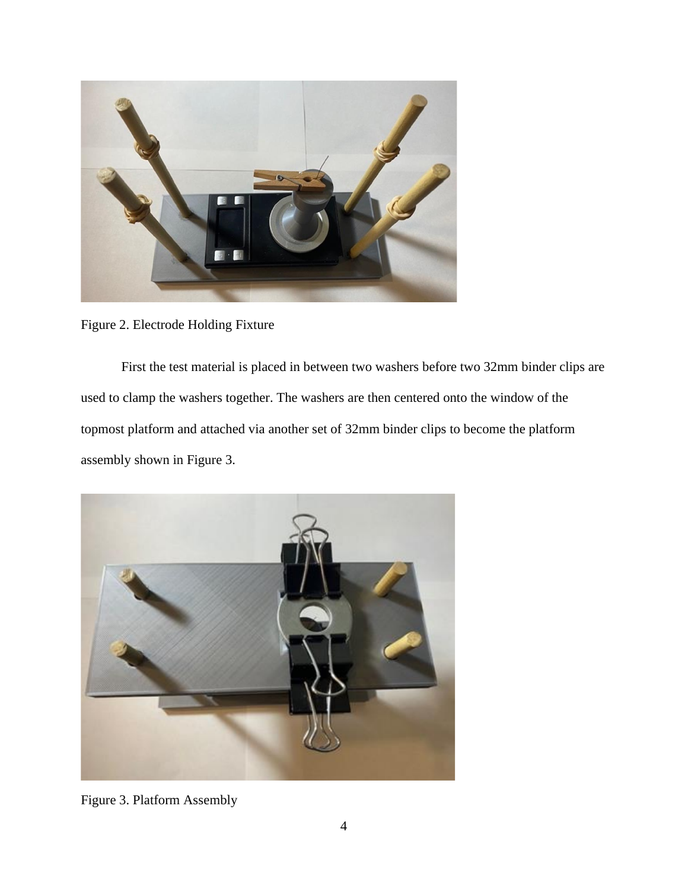

Figure 2. Electrode Holding Fixture

First the test material is placed in between two washers before two 32mm binder clips are used to clamp the washers together. The washers are then centered onto the window of the topmost platform and attached via another set of 32mm binder clips to become the platform assembly shown in Figure 3.



Figure 3. Platform Assembly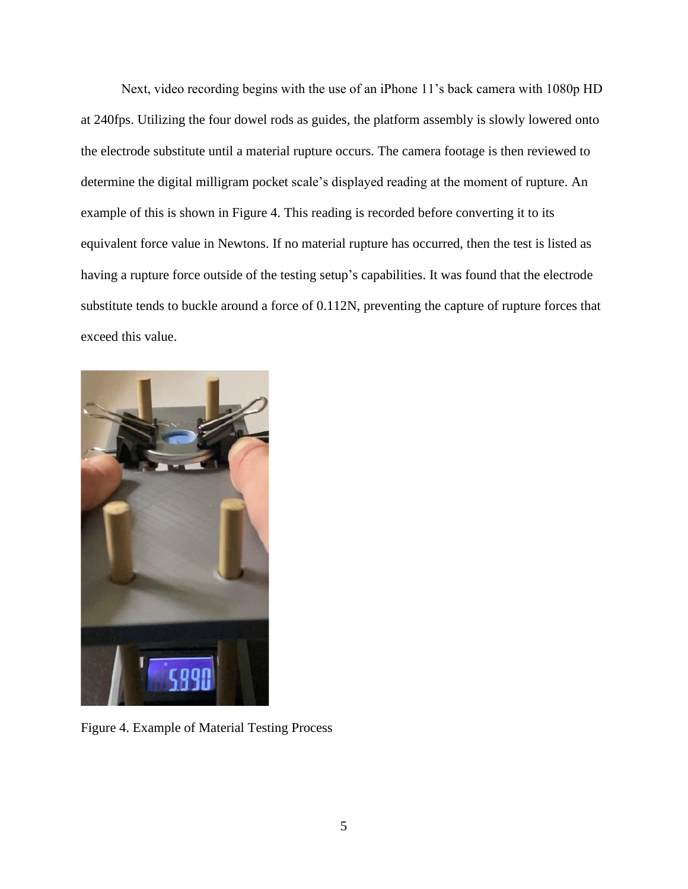Next, video recording begins with the use of an iPhone 11's back camera with 1080p HD at 240fps. Utilizing the four dowel rods as guides, the platform assembly is slowly lowered onto the electrode substitute until a material rupture occurs. The camera footage is then reviewed to determine the digital milligram pocket scale's displayed reading at the moment of rupture. An example of this is shown in Figure 4. This reading is recorded before converting it to its equivalent force value in Newtons. If no material rupture has occurred, then the test is listed as having a rupture force outside of the testing setup's capabilities. It was found that the electrode substitute tends to buckle around a force of 0.112N, preventing the capture of rupture forces that exceed this value.



Figure 4. Example of Material Testing Process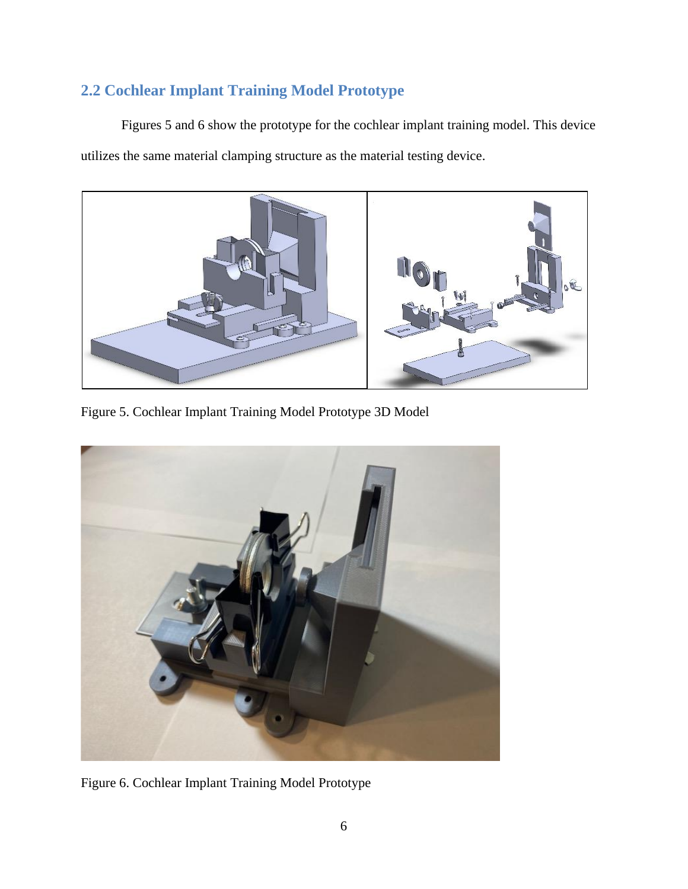# <span id="page-9-0"></span>**2.2 Cochlear Implant Training Model Prototype**

Figures 5 and 6 show the prototype for the cochlear implant training model. This device utilizes the same material clamping structure as the material testing device.



Figure 5. Cochlear Implant Training Model Prototype 3D Model



Figure 6. Cochlear Implant Training Model Prototype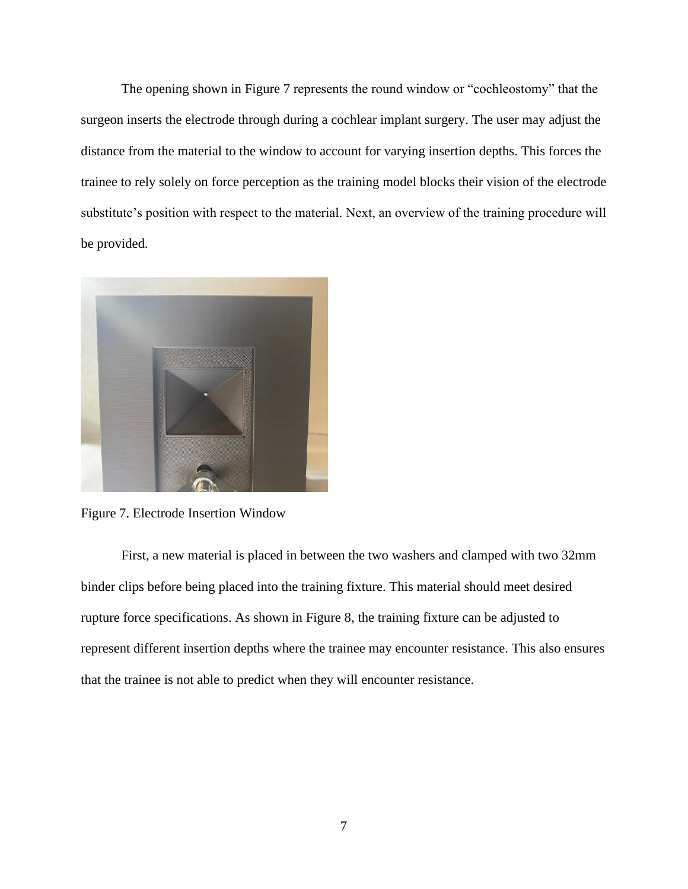The opening shown in Figure 7 represents the round window or "cochleostomy" that the surgeon inserts the electrode through during a cochlear implant surgery. The user may adjust the distance from the material to the window to account for varying insertion depths. This forces the trainee to rely solely on force perception as the training model blocks their vision of the electrode substitute's position with respect to the material. Next, an overview of the training procedure will be provided.



Figure 7. Electrode Insertion Window

First, a new material is placed in between the two washers and clamped with two 32mm binder clips before being placed into the training fixture. This material should meet desired rupture force specifications. As shown in Figure 8, the training fixture can be adjusted to represent different insertion depths where the trainee may encounter resistance. This also ensures that the trainee is not able to predict when they will encounter resistance.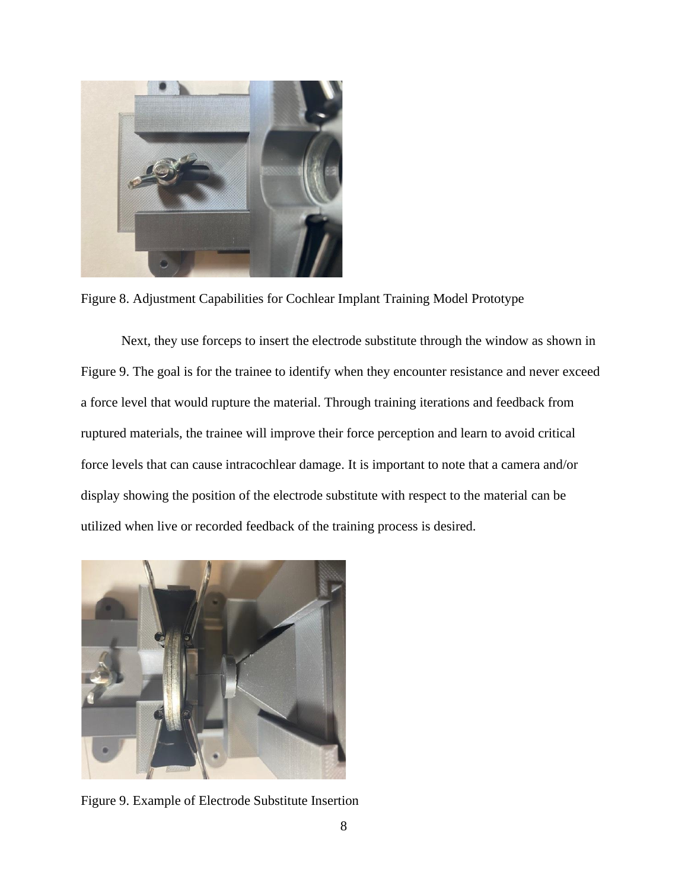

Figure 8. Adjustment Capabilities for Cochlear Implant Training Model Prototype

Next, they use forceps to insert the electrode substitute through the window as shown in Figure 9. The goal is for the trainee to identify when they encounter resistance and never exceed a force level that would rupture the material. Through training iterations and feedback from ruptured materials, the trainee will improve their force perception and learn to avoid critical force levels that can cause intracochlear damage. It is important to note that a camera and/or display showing the position of the electrode substitute with respect to the material can be utilized when live or recorded feedback of the training process is desired.



Figure 9. Example of Electrode Substitute Insertion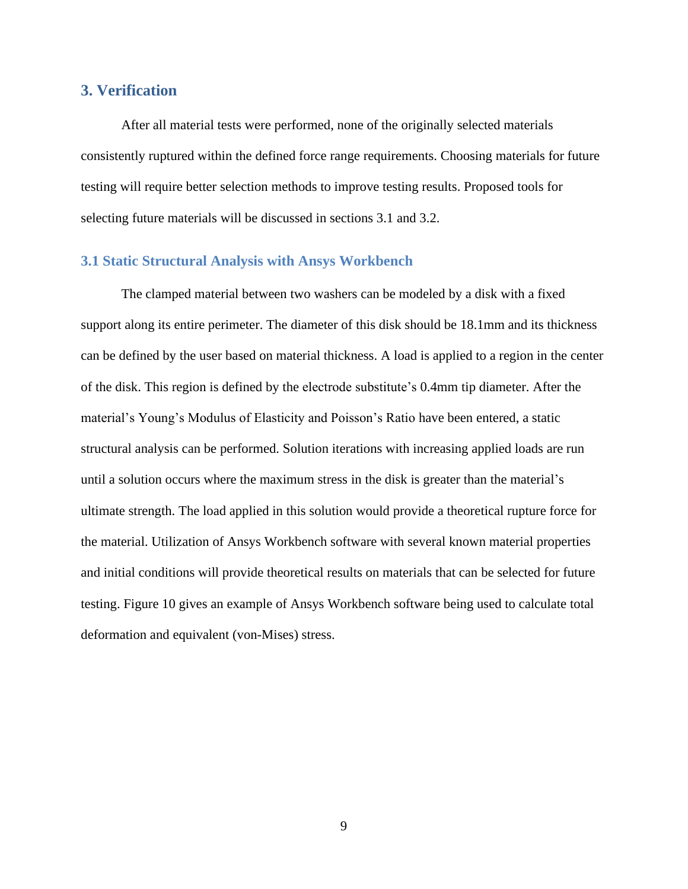### <span id="page-12-0"></span>**3. Verification**

After all material tests were performed, none of the originally selected materials consistently ruptured within the defined force range requirements. Choosing materials for future testing will require better selection methods to improve testing results. Proposed tools for selecting future materials will be discussed in sections 3.1 and 3.2.

### <span id="page-12-1"></span>**3.1 Static Structural Analysis with Ansys Workbench**

The clamped material between two washers can be modeled by a disk with a fixed support along its entire perimeter. The diameter of this disk should be 18.1mm and its thickness can be defined by the user based on material thickness. A load is applied to a region in the center of the disk. This region is defined by the electrode substitute's 0.4mm tip diameter. After the material's Young's Modulus of Elasticity and Poisson's Ratio have been entered, a static structural analysis can be performed. Solution iterations with increasing applied loads are run until a solution occurs where the maximum stress in the disk is greater than the material's ultimate strength. The load applied in this solution would provide a theoretical rupture force for the material. Utilization of Ansys Workbench software with several known material properties and initial conditions will provide theoretical results on materials that can be selected for future testing. Figure 10 gives an example of Ansys Workbench software being used to calculate total deformation and equivalent (von-Mises) stress.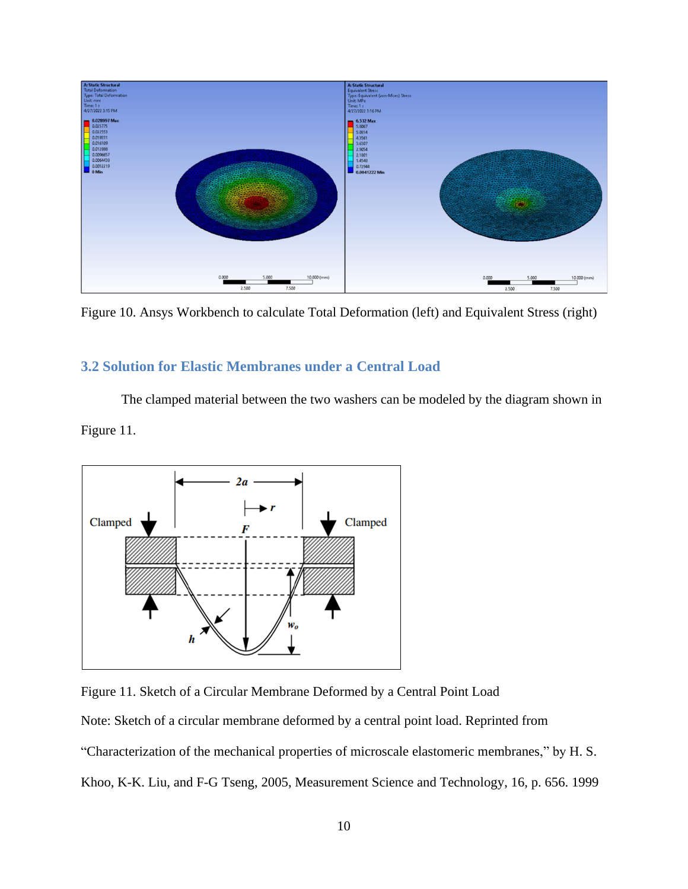

Figure 10. Ansys Workbench to calculate Total Deformation (left) and Equivalent Stress (right)

### <span id="page-13-0"></span>**3.2 Solution for Elastic Membranes under a Central Load**

The clamped material between the two washers can be modeled by the diagram shown in Figure 11.





Note: Sketch of a circular membrane deformed by a central point load. Reprinted from

"Characterization of the mechanical properties of microscale elastomeric membranes," by H. S.

Khoo, K-K. Liu, and F-G Tseng, 2005, Measurement Science and Technology, 16, p. 656. 1999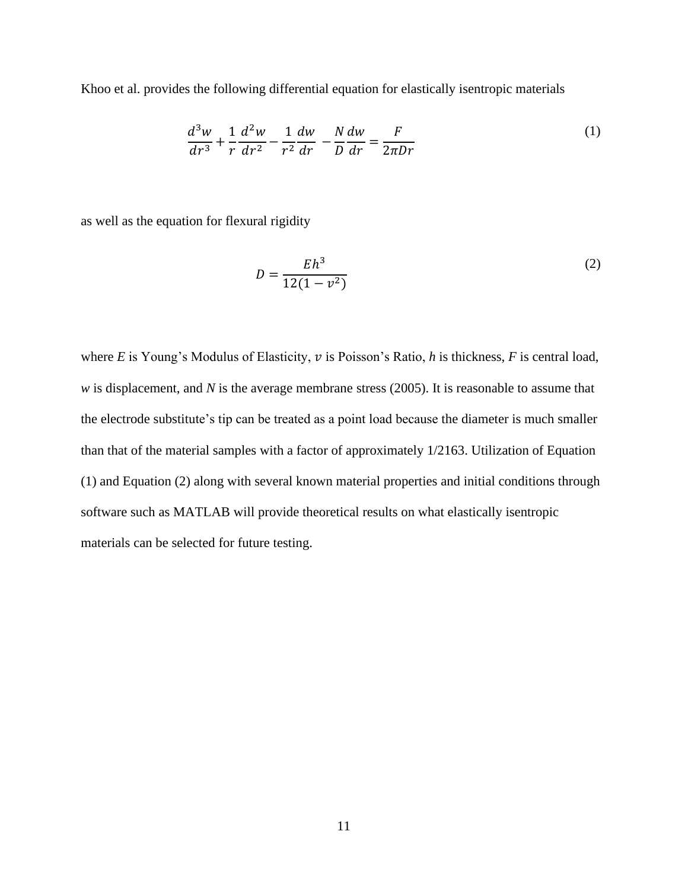Khoo et al. provides the following differential equation for elastically isentropic materials

$$
\frac{d^3w}{dr^3} + \frac{1}{r}\frac{d^2w}{dr^2} - \frac{1}{r^2}\frac{dw}{dr} - \frac{N}{D}\frac{dw}{dr} = \frac{F}{2\pi Dr}
$$
 (1)

as well as the equation for flexural rigidity

$$
D = \frac{Eh^3}{12(1 - v^2)}
$$
 (2)

where  $E$  is Young's Modulus of Elasticity,  $v$  is Poisson's Ratio,  $h$  is thickness,  $F$  is central load, *w* is displacement, and *N* is the average membrane stress (2005). It is reasonable to assume that the electrode substitute's tip can be treated as a point load because the diameter is much smaller than that of the material samples with a factor of approximately 1/2163. Utilization of Equation (1) and Equation (2) along with several known material properties and initial conditions through software such as MATLAB will provide theoretical results on what elastically isentropic materials can be selected for future testing.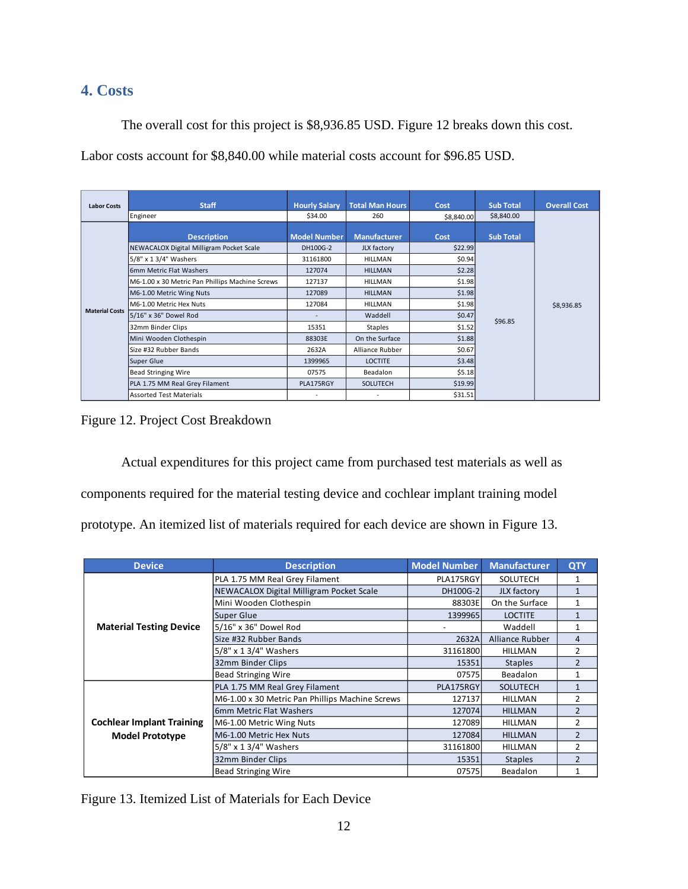### <span id="page-15-0"></span>**4. Costs**

The overall cost for this project is \$8,936.85 USD. Figure 12 breaks down this cost.

Labor costs account for \$8,840.00 while material costs account for \$96.85 USD.

| <b>Labor Costs</b>    | <b>Staff</b>                                    | <b>Hourly Salary</b> | <b>Total Man Hours</b> | Cost       | <b>Sub Total</b> | <b>Overall Cost</b> |
|-----------------------|-------------------------------------------------|----------------------|------------------------|------------|------------------|---------------------|
|                       | Engineer                                        | \$34.00              | 260                    | \$8,840.00 | \$8,840.00       |                     |
| <b>Material Costs</b> |                                                 |                      |                        |            |                  |                     |
|                       | <b>Description</b>                              | <b>Model Number</b>  | <b>Manufacturer</b>    | Cost       | <b>Sub Total</b> |                     |
|                       | NEWACALOX Digital Milligram Pocket Scale        | DH100G-2             | JLX factory            | \$22.99    |                  |                     |
|                       | 5/8" x 1 3/4" Washers                           | 31161800             | <b>HILLMAN</b>         | \$0.94     |                  |                     |
|                       | 6mm Metric Flat Washers                         | 127074               | <b>HILLMAN</b>         | \$2.28     |                  |                     |
|                       | M6-1.00 x 30 Metric Pan Phillips Machine Screws | 127137               | <b>HILLMAN</b>         | \$1.98     |                  |                     |
|                       | M6-1.00 Metric Wing Nuts                        | 127089               | <b>HILLMAN</b>         | \$1.98     |                  |                     |
|                       | M6-1.00 Metric Hex Nuts                         | 127084               | <b>HILLMAN</b>         | \$1.98     |                  | \$8,936.85          |
|                       | 5/16" x 36" Dowel Rod                           |                      | Waddell                | \$0.47     | \$96.85          |                     |
|                       | 32mm Binder Clips                               | 15351                | <b>Staples</b>         | \$1.52     |                  |                     |
|                       | Mini Wooden Clothespin                          | 88303E               | On the Surface         | \$1.88     |                  |                     |
|                       | Size #32 Rubber Bands                           | 2632A                | Alliance Rubber        | \$0.67     |                  |                     |
|                       | <b>Super Glue</b>                               | 1399965              | <b>LOCTITE</b>         | \$3.48     |                  |                     |
|                       | <b>Bead Stringing Wire</b>                      | 07575                | Beadalon               | \$5.18     |                  |                     |
|                       | PLA 1.75 MM Real Grey Filament                  | PLA175RGY            | <b>SOLUTECH</b>        | \$19.99    |                  |                     |
|                       | <b>Assorted Test Materials</b>                  |                      |                        | \$31.51    |                  |                     |

Figure 12. Project Cost Breakdown

Actual expenditures for this project came from purchased test materials as well as components required for the material testing device and cochlear implant training model prototype. An itemized list of materials required for each device are shown in Figure 13.

| <b>Device</b>                    | <b>Description</b>                                   | <b>Model Number</b> | <b>Manufacturer</b> | QTY            |
|----------------------------------|------------------------------------------------------|---------------------|---------------------|----------------|
|                                  | PLA 1.75 MM Real Grey Filament                       | PLA175RGY           | SOLUTECH            |                |
|                                  | NEWACALOX Digital Milligram Pocket Scale<br>DH100G-2 |                     | JLX factory         | $\mathbf{1}$   |
|                                  | Mini Wooden Clothespin                               | 88303E              | On the Surface      | 1              |
|                                  | Super Glue                                           | 1399965             | <b>LOCTITE</b>      | $\mathbf{1}$   |
| <b>Material Testing Device</b>   | 5/16" x 36" Dowel Rod                                |                     | Waddell             | $\mathbf{1}$   |
|                                  | Size #32 Rubber Bands                                | 2632A               | Alliance Rubber     | 4              |
|                                  | 5/8" x 1 3/4" Washers                                | 31161800            | <b>HILLMAN</b>      | $\overline{2}$ |
|                                  | 32mm Binder Clips                                    | 15351               | <b>Staples</b>      | $\overline{2}$ |
|                                  | <b>Bead Stringing Wire</b>                           | 07575               | <b>Beadalon</b>     | 1              |
|                                  | PLA 1.75 MM Real Grey Filament                       | PLA175RGY           | <b>SOLUTECH</b>     | $\mathbf{1}$   |
|                                  | M6-1.00 x 30 Metric Pan Phillips Machine Screws      | 127137              | <b>HILLMAN</b>      | 2              |
|                                  | 6mm Metric Flat Washers                              | 127074              | <b>HILLMAN</b>      | $\overline{2}$ |
| <b>Cochlear Implant Training</b> | M6-1.00 Metric Wing Nuts                             | 127089              | <b>HILLMAN</b>      | $\overline{2}$ |
| <b>Model Prototype</b>           | M6-1.00 Metric Hex Nuts                              | 127084              | <b>HILLMAN</b>      | $\overline{2}$ |
|                                  | 5/8" x 1 3/4" Washers                                | 31161800            | <b>HILLMAN</b>      | $\overline{2}$ |
|                                  | 32mm Binder Clips                                    | 15351               | <b>Staples</b>      | $\overline{2}$ |
|                                  | <b>Bead Stringing Wire</b>                           | 07575               | Beadalon            | $\mathbf{1}$   |

Figure 13. Itemized List of Materials for Each Device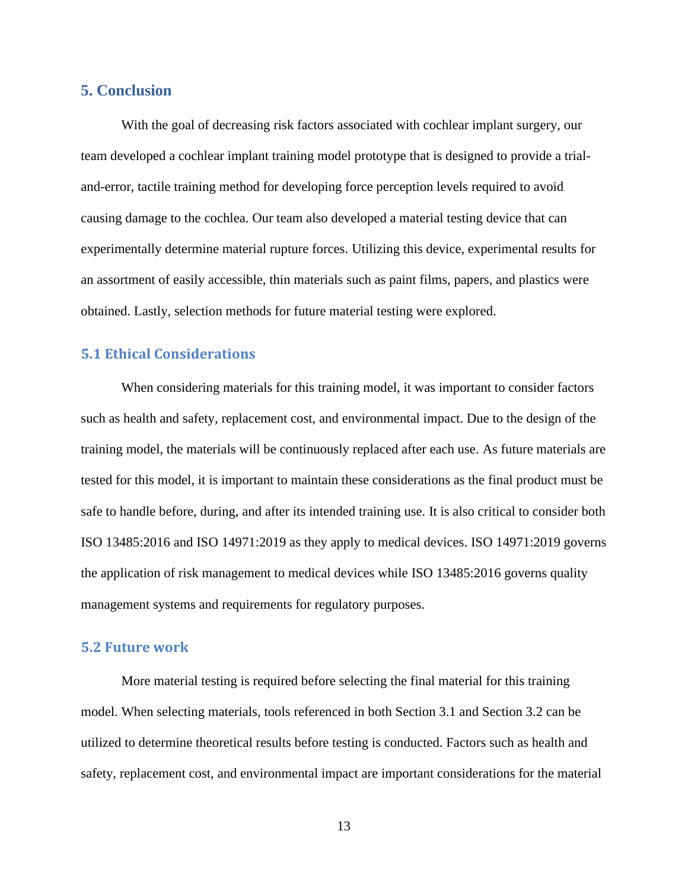### <span id="page-16-0"></span>**5. Conclusion**

With the goal of decreasing risk factors associated with cochlear implant surgery, our team developed a cochlear implant training model prototype that is designed to provide a trialand-error, tactile training method for developing force perception levels required to avoid causing damage to the cochlea. Our team also developed a material testing device that can experimentally determine material rupture forces. Utilizing this device, experimental results for an assortment of easily accessible, thin materials such as paint films, papers, and plastics were obtained. Lastly, selection methods for future material testing were explored.

### <span id="page-16-1"></span>**5.1 Ethical Considerations**

When considering materials for this training model, it was important to consider factors such as health and safety, replacement cost, and environmental impact. Due to the design of the training model, the materials will be continuously replaced after each use. As future materials are tested for this model, it is important to maintain these considerations as the final product must be safe to handle before, during, and after its intended training use. It is also critical to consider both ISO 13485:2016 and ISO 14971:2019 as they apply to medical devices. ISO 14971:2019 governs the application of risk management to medical devices while ISO 13485:2016 governs quality management systems and requirements for regulatory purposes.

#### <span id="page-16-2"></span>**5.2 Future work**

More material testing is required before selecting the final material for this training model. When selecting materials, tools referenced in both Section 3.1 and Section 3.2 can be utilized to determine theoretical results before testing is conducted. Factors such as health and safety, replacement cost, and environmental impact are important considerations for the material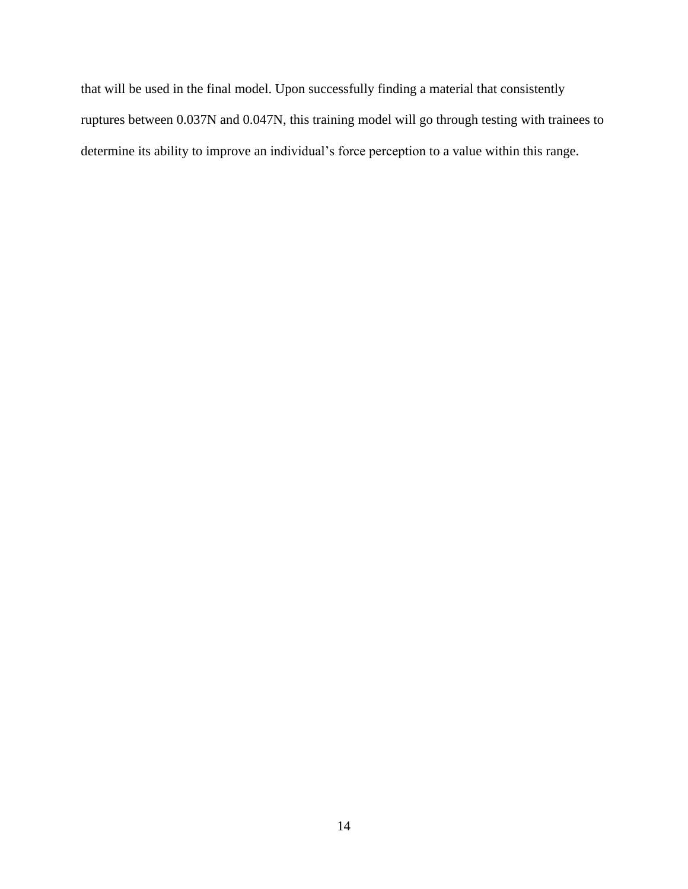that will be used in the final model. Upon successfully finding a material that consistently ruptures between 0.037N and 0.047N, this training model will go through testing with trainees to determine its ability to improve an individual's force perception to a value within this range.